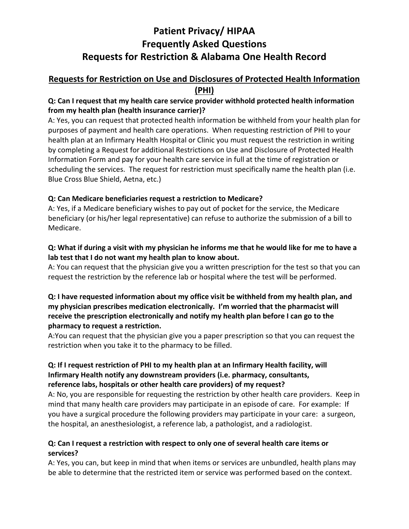# **Patient Privacy/ HIPAA Frequently Asked Questions Requests for Restriction & Alabama One Health Record**

# **Requests for Restriction on Use and Disclosures of Protected Health Information (PHI)**

# **Q: Can I request that my health care service provider withhold protected health information from my health plan (health insurance carrier)?**

A: Yes, you can request that protected health information be withheld from your health plan for purposes of payment and health care operations. When requesting restriction of PHI to your health plan at an Infirmary Health Hospital or Clinic you must request the restriction in writing by completing a Request for additional Restrictions on Use and Disclosure of Protected Health Information Form and pay for your health care service in full at the time of registration or scheduling the services. The request for restriction must specifically name the health plan (i.e. Blue Cross Blue Shield, Aetna, etc.)

# **Q: Can Medicare beneficiaries request a restriction to Medicare?**

A: Yes, if a Medicare beneficiary wishes to pay out of pocket for the service, the Medicare beneficiary (or his/her legal representative) can refuse to authorize the submission of a bill to Medicare.

# **Q: What if during a visit with my physician he informs me that he would like for me to have a lab test that I do not want my health plan to know about.**

A: You can request that the physician give you a written prescription for the test so that you can request the restriction by the reference lab or hospital where the test will be performed.

#### **Q: I have requested information about my office visit be withheld from my health plan, and my physician prescribes medication electronically. I'm worried that the pharmacist will receive the prescription electronically and notify my health plan before I can go to the pharmacy to request a restriction.**

A:You can request that the physician give you a paper prescription so that you can request the restriction when you take it to the pharmacy to be filled.

#### **Q: If I request restriction of PHI to my health plan at an Infirmary Health facility, will Infirmary Health notify any downstream providers (i.e. pharmacy, consultants, reference labs, hospitals or other health care providers) of my request?**

A: No, you are responsible for requesting the restriction by other health care providers. Keep in mind that many health care providers may participate in an episode of care. For example: If you have a surgical procedure the following providers may participate in your care: a surgeon, the hospital, an anesthesiologist, a reference lab, a pathologist, and a radiologist.

# **Q: Can I request a restriction with respect to only one of several health care items or services?**

A: Yes, you can, but keep in mind that when items or services are unbundled, health plans may be able to determine that the restricted item or service was performed based on the context.